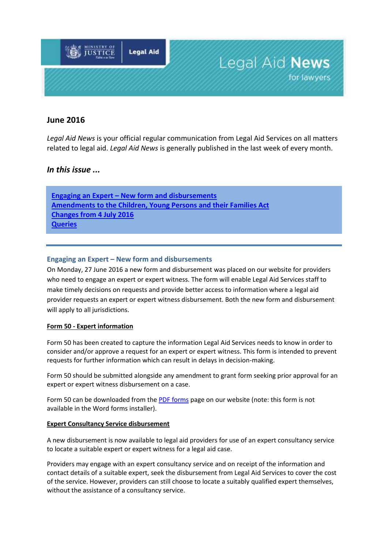

# **June 2016**

*Legal Aid News* is your official regular communication from Legal Aid Services on all matters related to legal aid. *Legal Aid News* is generally published in the last week of every month.

## *In this issue ...*

**Engaging an Expert – [New form and disbursements](#page-0-0) [Amendments to the Children, Young Persons and their Families Act](#page-2-0) [Changes from 4 July 2016](#page-1-0) Queries**

### <span id="page-0-0"></span>**Engaging an Expert – New form and disbursements**

On Monday, 27 June 2016 a new form and disbursement was placed on our website for providers who need to engage an expert or expert witness. The form will enable Legal Aid Services staff to make timely decisions on requests and provide better access to information where a legal aid provider requests an expert or expert witness disbursement. Both the new form and disbursement will apply to all jurisdictions.

#### **Form 50 - Expert information**

Form 50 has been created to capture the information Legal Aid Services needs to know in order to consider and/or approve a request for an expert or expert witness. This form is intended to prevent requests for further information which can result in delays in decision-making.

Form 50 should be submitted alongside any amendment to grant form seeking prior approval for an expert or expert witness disbursement on a case.

Form 50 can be downloaded from th[e PDF forms](http://www.justice.govt.nz/services/service-providers/information-for-legal-professionals/information-for-legal-aid-providers/legal-aid-forms/legal-aid-forms) page on our website (note: this form is not available in the Word forms installer).

#### **Expert Consultancy Service disbursement**

A new disbursement is now available to legal aid providers for use of an expert consultancy service to locate a suitable expert or expert witness for a legal aid case.

Providers may engage with an expert consultancy service and on receipt of the information and contact details of a suitable expert, seek the disbursement from Legal Aid Services to cover the cost of the service. However, providers can still choose to locate a suitably qualified expert themselves, without the assistance of a consultancy service.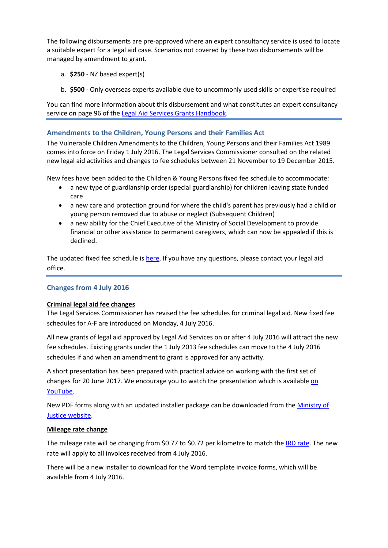The following disbursements are pre-approved where an expert consultancy service is used to locate a suitable expert for a legal aid case. Scenarios not covered by these two disbursements will be managed by amendment to grant.

- a. **\$250** NZ based expert(s)
- b. **\$500** Only overseas experts available due to uncommonly used skills or expertise required

You can find more information about this disbursement and what constitutes an expert consultancy service on page 96 of th[e Legal Aid Services Grants Handbook.](http://www.justice.govt.nz/services/service-providers/information-for-legal-professionals/information-for-legal-aid-providers/documents/manuals-and-policies/grants-manual/grants-handbook-2016)

### **Amendments to the Children, Young Persons and their Families Act**

The Vulnerable Children Amendments to the Children, Young Persons and their Families Act 1989 comes into force on Friday 1 July 2016. The Legal Services Commissioner consulted on the related new legal aid activities and changes to fee schedules between 21 November to 19 December 2015.

New fees have been added to the Children & Young Persons fixed fee schedule to accommodate:

- a new type of guardianship order (special guardianship) for children leaving state funded care
- a new care and protection ground for where the child's parent has previously had a child or young person removed due to abuse or neglect (Subsequent Children)
- a new ability for the Chief Executive of the Ministry of Social Development to provide financial or other assistance to permanent caregivers, which can now be appealed if this is declined.

The updated fixed fee schedule is [here.](http://www.justice.govt.nz/services/service-providers/information-for-legal-professionals/information-for-legal-aid-providers/proceeding-steps/proceeding-steps) If you have any questions, please contact your legal aid office.

### <span id="page-1-0"></span>**Changes from 4 July 2016**

#### **Criminal legal aid fee changes**

The Legal Services Commissioner has revised the fee schedules for criminal legal aid. New fixed fee schedules for A-F are introduced on Monday, 4 July 2016.

All new grants of legal aid approved by Legal Aid Services on or after 4 July 2016 will attract the new fee schedules. Existing grants under the 1 July 2013 fee schedules can move to the 4 July 2016 schedules if and when an amendment to grant is approved for any activity.

A short presentation has been prepared with practical advice on working with the first set of changes for 20 June 2017. We encourage you to watch the presentation which is availabl[e on](https://www.youtube.com/watch?v=AJ_O856j6qQ&list=PLq4cimoozvxyjnLzCn1CRPB1yBMdkyHPY)  [YouTube.](https://www.youtube.com/watch?v=AJ_O856j6qQ&list=PLq4cimoozvxyjnLzCn1CRPB1yBMdkyHPY)

New PDF forms along with an updated installer package can be downloaded from the [Ministry of](http://www.justice.govt.nz/services/service-providers/information-for-legal-professionals/information-for-legal-aid-providers/legal-aid-forms/legal-aid-forms)  [Justice website.](http://www.justice.govt.nz/services/service-providers/information-for-legal-professionals/information-for-legal-aid-providers/legal-aid-forms/legal-aid-forms)

#### **Mileage rate change**

The mileage rate will be changing from \$0.77 to \$0.72 per kilometre to match the [IRD rate.](http://www.ird.govt.nz/technical-tax/op-statements/os-review-milage-rate-2016.html) The new rate will apply to all invoices received from 4 July 2016.

There will be a new installer to download for the Word template invoice forms, which will be available from 4 July 2016.